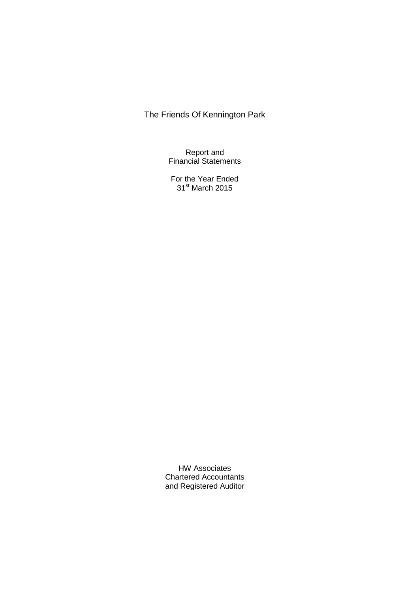Report and Financial Statements

For the Year Ended 31<sup>st</sup> March 2015

HW Associates Chartered Accountants and Registered Auditor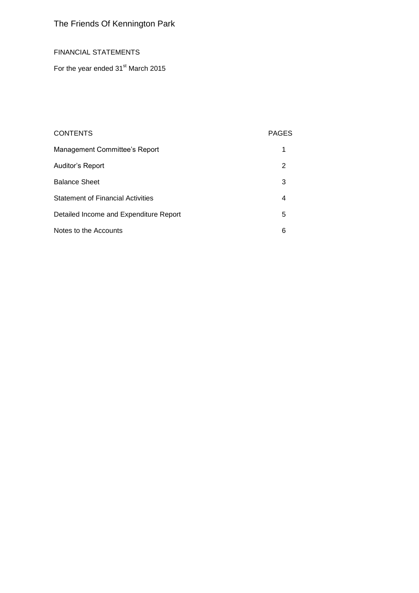## FINANCIAL STATEMENTS

For the year ended 31<sup>st</sup> March 2015

## CONTENTS PAGES

| Management Committee's Report            |   |
|------------------------------------------|---|
| Auditor's Report                         | 2 |
| <b>Balance Sheet</b>                     | 3 |
| <b>Statement of Financial Activities</b> | 4 |
| Detailed Income and Expenditure Report   | 5 |
| Notes to the Accounts                    | 6 |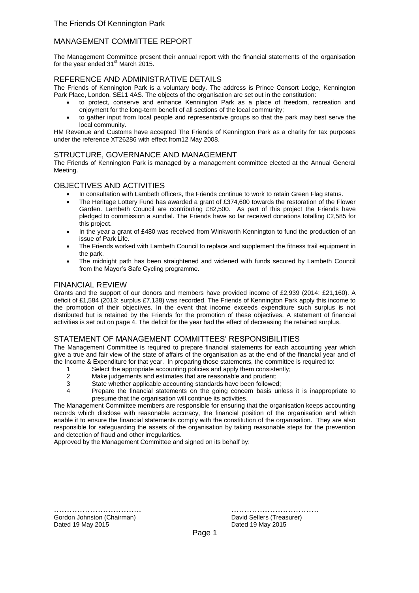## MANAGEMENT COMMITTEE REPORT

The Management Committee present their annual report with the financial statements of the organisation for the year ended  $31<sup>st</sup>$  March 2015.

### REFERENCE AND ADMINISTRATIVE DETAILS

The Friends of Kennington Park is a voluntary body. The address is Prince Consort Lodge, Kennington Park Place, London, SE11 4AS. The objects of the organisation are set out in the constitution:

- to protect, conserve and enhance Kennington Park as a place of freedom, recreation and enjoyment for the long-term benefit of all sections of the local community;
- to gather input from local people and representative groups so that the park may best serve the local community.

HM Revenue and Customs have accepted The Friends of Kennington Park as a charity for tax purposes under the reference XT26286 with effect from12 May 2008.

#### STRUCTURE, GOVERNANCE AND MANAGEMENT

The Friends of Kennington Park is managed by a management committee elected at the Annual General Meeting.

#### OBJECTIVES AND ACTIVITIES

- In consultation with Lambeth officers, the Friends continue to work to retain Green Flag status.
- The Heritage Lottery Fund has awarded a grant of £374,600 towards the restoration of the Flower Garden. Lambeth Council are contributing £82,500. As part of this project the Friends have pledged to commission a sundial. The Friends have so far received donations totalling £2,585 for this project.
- In the year a grant of £480 was received from Winkworth Kennington to fund the production of an issue of Park Life.
- The Friends worked with Lambeth Council to replace and supplement the fitness trail equipment in the park.
- The midnight path has been straightened and widened with funds secured by Lambeth Council from the Mayor's Safe Cycling programme.

#### FINANCIAL REVIEW

Grants and the support of our donors and members have provided income of £2,939 (2014: £21,160). A deficit of £1,584 (2013: surplus £7,138) was recorded. The Friends of Kennington Park apply this income to the promotion of their objectives. In the event that income exceeds expenditure such surplus is not distributed but is retained by the Friends for the promotion of these objectives. A statement of financial activities is set out on page 4. The deficit for the year had the effect of decreasing the retained surplus.

#### STATEMENT OF MANAGEMENT COMMITTEES' RESPONSIBILITIES

The Management Committee is required to prepare financial statements for each accounting year which give a true and fair view of the state of affairs of the organisation as at the end of the financial year and of the Income & Expenditure for that year. In preparing those statements, the committee is required to:

- 1 Select the appropriate accounting policies and apply them consistently;<br>2 Make iudgements and estimates that are reasonable and prudent:
- 2 Make judgements and estimates that are reasonable and prudent;<br>3 State whether applicable accounting standards have been followed
- State whether applicable accounting standards have been followed;
- 4 Prepare the financial statements on the going concern basis unless it is inappropriate to presume that the organisation will continue its activities.

The Management Committee members are responsible for ensuring that the organisation keeps accounting records which disclose with reasonable accuracy, the financial position of the organisation and which enable it to ensure the financial statements comply with the constitution of the organisation. They are also responsible for safeguarding the assets of the organisation by taking reasonable steps for the prevention and detection of fraud and other irregularities.

Approved by the Management Committee and signed on its behalf by:

……………………………. ……………………………. Gordon Johnston (Chairman) **David Sellers (Treasurer)** David Sellers (Treasurer) Dated 19 May 2015 **Dated 19 May 2015**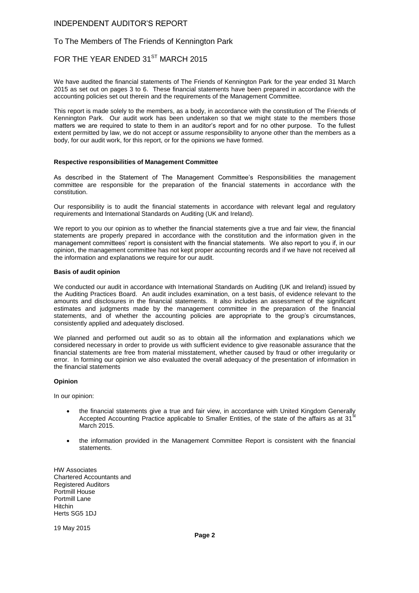#### INDEPENDENT AUDITOR'S REPORT

#### To The Members of The Friends of Kennington Park

## FOR THE YEAR ENDED 31<sup>ST</sup> MARCH 2015

We have audited the financial statements of The Friends of Kennington Park for the year ended 31 March 2015 as set out on pages 3 to 6. These financial statements have been prepared in accordance with the accounting policies set out therein and the requirements of the Management Committee.

This report is made solely to the members, as a body, in accordance with the constitution of The Friends of Kennington Park. Our audit work has been undertaken so that we might state to the members those matters we are required to state to them in an auditor's report and for no other purpose. To the fullest extent permitted by law, we do not accept or assume responsibility to anyone other than the members as a body, for our audit work, for this report, or for the opinions we have formed.

#### **Respective responsibilities of Management Committee**

As described in the Statement of The Management Committee's Responsibilities the management committee are responsible for the preparation of the financial statements in accordance with the constitution.

Our responsibility is to audit the financial statements in accordance with relevant legal and regulatory requirements and International Standards on Auditing (UK and Ireland).

We report to you our opinion as to whether the financial statements give a true and fair view, the financial statements are properly prepared in accordance with the constitution and the information given in the management committees' report is consistent with the financial statements. We also report to you if, in our opinion, the management committee has not kept proper accounting records and if we have not received all the information and explanations we require for our audit.

#### **Basis of audit opinion**

We conducted our audit in accordance with International Standards on Auditing (UK and Ireland) issued by the Auditing Practices Board. An audit includes examination, on a test basis, of evidence relevant to the amounts and disclosures in the financial statements. It also includes an assessment of the significant estimates and judgments made by the management committee in the preparation of the financial statements, and of whether the accounting policies are appropriate to the group's circumstances, consistently applied and adequately disclosed.

We planned and performed out audit so as to obtain all the information and explanations which we considered necessary in order to provide us with sufficient evidence to give reasonable assurance that the financial statements are free from material misstatement, whether caused by fraud or other irregularity or error. In forming our opinion we also evaluated the overall adequacy of the presentation of information in the financial statements

#### **Opinion**

In our opinion:

- the financial statements give a true and fair view, in accordance with United Kingdom Generally Accepted Accounting Practice applicable to Smaller Entities, of the state of the affairs as at 31 March 2015.
- the information provided in the Management Committee Report is consistent with the financial statements.

HW Associates Chartered Accountants and Registered Auditors Portmill House Portmill Lane Hitchin Herts SG5 1DJ

19 May 2015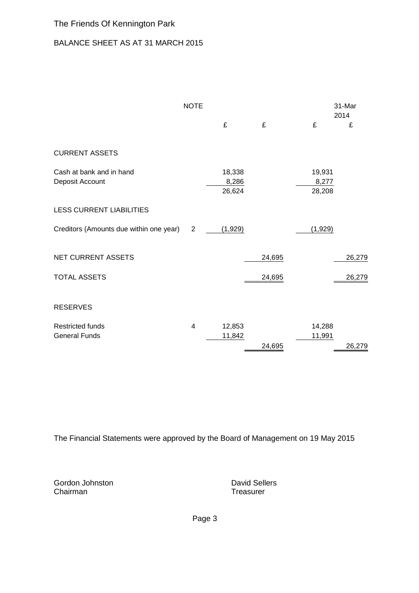# BALANCE SHEET AS AT 31 MARCH 2015

|                                                 | <b>NOTE</b>             |                           |        |         |                           | 31-Mar<br>2014 |
|-------------------------------------------------|-------------------------|---------------------------|--------|---------|---------------------------|----------------|
|                                                 |                         | £                         | £      | £       |                           | £              |
| <b>CURRENT ASSETS</b>                           |                         |                           |        |         |                           |                |
| Cash at bank and in hand<br>Deposit Account     |                         | 18,338<br>8,286<br>26,624 |        |         | 19,931<br>8,277<br>28,208 |                |
| <b>LESS CURRENT LIABILITIES</b>                 |                         |                           |        |         |                           |                |
| Creditors (Amounts due within one year) 2       |                         | (1,929)                   |        | (1,929) |                           |                |
| NET CURRENT ASSETS                              |                         |                           | 24,695 |         |                           | 26,279         |
| <b>TOTAL ASSETS</b>                             |                         |                           | 24,695 |         |                           | 26,279         |
| <b>RESERVES</b>                                 |                         |                           |        |         |                           |                |
| <b>Restricted funds</b><br><b>General Funds</b> | $\overline{\mathbf{4}}$ | 12,853<br>11,842          | 24,695 | 11,991  | 14,288                    | 26,279         |
|                                                 |                         |                           |        |         |                           |                |

The Financial Statements were approved by the Board of Management on 19 May 2015

Gordon Johnston **David Sellers**<br>
Chairman **David Sellers**<br>
Chairman **David Sellers** Chairman

Page 3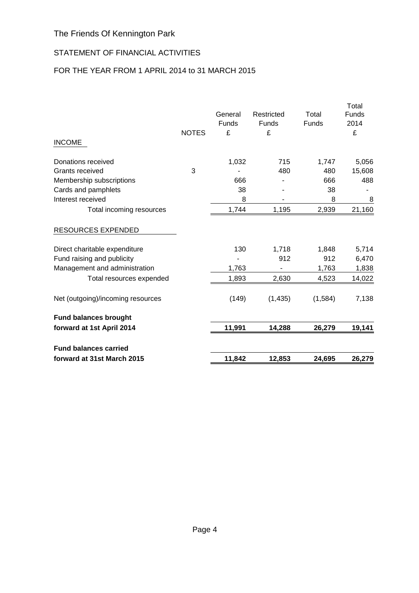# STATEMENT OF FINANCIAL ACTIVITIES

# FOR THE YEAR FROM 1 APRIL 2014 to 31 MARCH 2015

| forward at 31st March 2015        |              | 11,842           | 12,853     | 24,695       | 26,279        |
|-----------------------------------|--------------|------------------|------------|--------------|---------------|
| <b>Fund balances carried</b>      |              |                  |            |              |               |
| forward at 1st April 2014         |              | 11,991           | 14,288     | 26,279       | 19,141        |
| <b>Fund balances brought</b>      |              |                  |            |              |               |
| Net (outgoing)/incoming resources |              | (149)            | (1, 435)   | (1,584)      | 7,138         |
| Total resources expended          |              | 1,893            | 2,630      | 4,523        | 14,022        |
| Management and administration     |              | 1,763            |            | 1,763        | 1,838         |
| Fund raising and publicity        |              |                  | 912        | 912          | 6,470         |
| Direct charitable expenditure     |              | 130              | 1,718      | 1,848        | 5,714         |
| <b>RESOURCES EXPENDED</b>         |              |                  |            |              |               |
| Total incoming resources          |              | 1,744            | 1,195      | 2,939        | 21,160        |
| Interest received                 |              | 8                |            | 8            | 8             |
| Cards and pamphlets               |              | 38               |            | 38           |               |
| Membership subscriptions          |              | 666              |            | 666          | 488           |
| Grants received                   | 3            |                  | 480        | 480          | 15,608        |
| Donations received                |              | 1,032            | 715        | 1,747        | 5,056         |
| <b>INCOME</b>                     |              |                  |            |              |               |
|                                   | <b>NOTES</b> | £                | £          |              | £             |
|                                   |              | General<br>Funds | Funds      | <b>Funds</b> | Funds<br>2014 |
|                                   |              |                  | Restricted | Total        | Total         |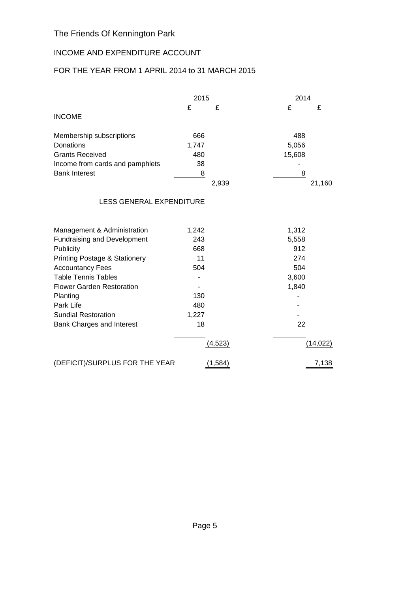# INCOME AND EXPENDITURE ACCOUNT

# FOR THE YEAR FROM 1 APRIL 2014 to 31 MARCH 2015

|                                          | 2015  |          | 2014   |           |
|------------------------------------------|-------|----------|--------|-----------|
|                                          | £     | £        | £      | £         |
| <b>INCOME</b>                            |       |          |        |           |
| Membership subscriptions                 | 666   |          | 488    |           |
| Donations                                | 1,747 |          | 5,056  |           |
| <b>Grants Received</b>                   | 480   |          | 15,608 |           |
| Income from cards and pamphlets          | 38    |          |        |           |
| <b>Bank Interest</b>                     | 8     |          | 8      |           |
|                                          |       | 2,939    |        | 21,160    |
| <b>LESS GENERAL EXPENDITURE</b>          |       |          |        |           |
| Management & Administration              | 1,242 |          | 1,312  |           |
| <b>Fundraising and Development</b>       | 243   |          | 5,558  |           |
| Publicity                                | 668   |          | 912    |           |
| <b>Printing Postage &amp; Stationery</b> | 11    |          | 274    |           |
| <b>Accountancy Fees</b>                  | 504   |          | 504    |           |
| <b>Table Tennis Tables</b>               |       |          | 3,600  |           |
| <b>Flower Garden Restoration</b>         |       |          | 1,840  |           |
| Planting                                 | 130   |          |        |           |
| Park Life                                | 480   |          |        |           |
| <b>Sundial Restoration</b>               | 1,227 |          |        |           |
| Bank Charges and Interest                | 18    |          | 22     |           |
|                                          |       | (4, 523) |        | (14, 022) |
| (DEFICIT)/SURPLUS FOR THE YEAR           |       | (1, 584) |        | 7,138     |